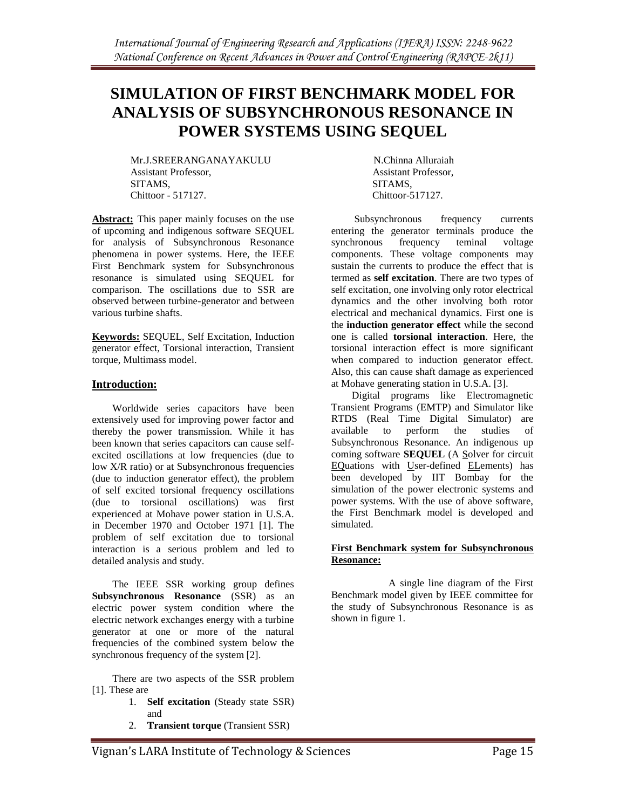# **SIMULATION OF FIRST BENCHMARK MODEL FOR ANALYSIS OF SUBSYNCHRONOUS RESONANCE IN POWER SYSTEMS USING SEQUEL**

Mr.J.SREERANGANAYAKULU N.Chinna Alluraiah Assistant Professor, Assistant Professor, SITAMS, SITAMS, Chittoor - 517127. Chittoor-517127.

**Abstract:** This paper mainly focuses on the use of upcoming and indigenous software SEQUEL for analysis of Subsynchronous Resonance phenomena in power systems. Here, the IEEE First Benchmark system for Subsynchronous resonance is simulated using SEQUEL for comparison. The oscillations due to SSR are observed between turbine-generator and between various turbine shafts.

**Keywords:** SEQUEL, Self Excitation, Induction generator effect, Torsional interaction, Transient torque, Multimass model.

# **Introduction:**

 Worldwide series capacitors have been extensively used for improving power factor and thereby the power transmission. While it has been known that series capacitors can cause selfexcited oscillations at low frequencies (due to low X/R ratio) or at Subsynchronous frequencies (due to induction generator effect), the problem of self excited torsional frequency oscillations (due to torsional oscillations) was first experienced at Mohave power station in U.S.A. in December 1970 and October 1971 [1]. The problem of self excitation due to torsional interaction is a serious problem and led to detailed analysis and study.

 The IEEE SSR working group defines **Subsynchronous Resonance** (SSR) as an electric power system condition where the electric network exchanges energy with a turbine generator at one or more of the natural frequencies of the combined system below the synchronous frequency of the system [2].

 There are two aspects of the SSR problem [1]. These are

- 1. **Self excitation** (Steady state SSR) and
- 2. **Transient torque** (Transient SSR)

 Subsynchronous frequency currents entering the generator terminals produce the synchronous frequency teminal voltage components. These voltage components may sustain the currents to produce the effect that is termed as **self excitation**. There are two types of self excitation, one involving only rotor electrical dynamics and the other involving both rotor electrical and mechanical dynamics. First one is the **induction generator effect** while the second one is called **torsional interaction**. Here, the torsional interaction effect is more significant when compared to induction generator effect. Also, this can cause shaft damage as experienced at Mohave generating station in U.S.A. [3].

 Digital programs like Electromagnetic Transient Programs (EMTP) and Simulator like RTDS (Real Time Digital Simulator) are available to perform the studies of Subsynchronous Resonance. An indigenous up coming software **SEQUEL** (A Solver for circuit EQuations with User-defined ELements) has been developed by IIT Bombay for the simulation of the power electronic systems and power systems. With the use of above software, the First Benchmark model is developed and simulated.

## **First Benchmark system for Subsynchronous Resonance:**

 A single line diagram of the First Benchmark model given by IEEE committee for the study of Subsynchronous Resonance is as shown in figure 1.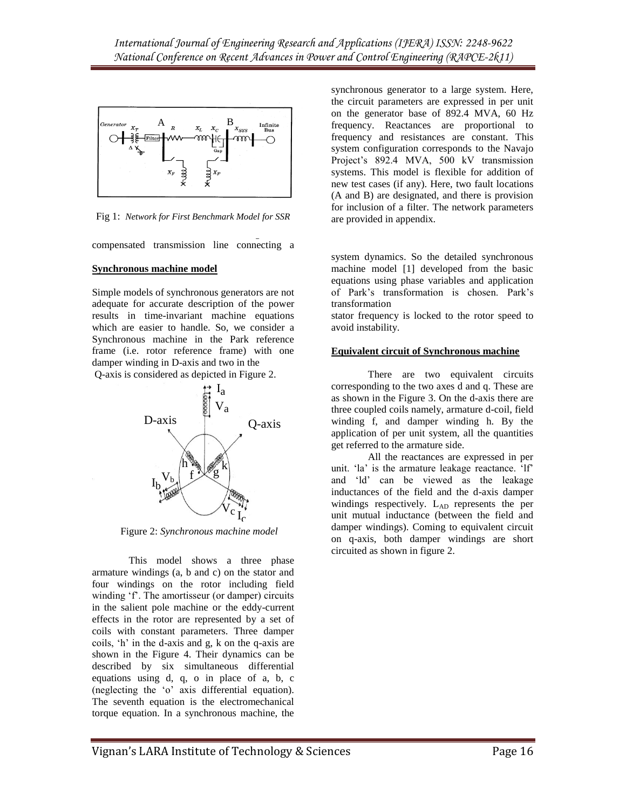

Fig 1: *Network for First Benchmark Model for SSR*

compensated transmission line connecting a

The network consists of a single series

#### **Synchronous machine model**

Simple models of synchronous generators are not adequate for accurate description of the power results in time-invariant machine equations which are easier to handle. So, we consider a Synchronous machine in the Park reference frame (i.e. rotor reference frame) with one damper winding in D-axis and two in the

Q-axis is considered as depicted in Figure 2.



Figure 2: *Synchronous machine model*

This model shows a three phase armature windings (a, b and c) on the stator and four windings on the rotor including field winding 'f'. The amortisseur (or damper) circuits in the salient pole machine or the eddy-current effects in the rotor are represented by a set of coils with constant parameters. Three damper coils,  $'h'$  in the d-axis and g, k on the q-axis are shown in the Figure 4. Their dynamics can be described by six simultaneous differential equations using d, q, o in place of a, b, c (neglecting the "o" axis differential equation). The seventh equation is the electromechanical torque equation. In a synchronous machine, the synchronous generator to a large system. Here, the circuit parameters are expressed in per unit on the generator base of 892.4 MVA, 60 Hz frequency. Reactances are proportional to frequency and resistances are constant. This system configuration corresponds to the Navajo Project"s 892.4 MVA, 500 kV transmission systems. This model is flexible for addition of new test cases (if any). Here, two fault locations (A and B) are designated, and there is provision for inclusion of a filter. The network parameters are provided in appendix.

system dynamics. So the detailed synchronous machine model [1] developed from the basic equations using phase variables and application of Park"s transformation is chosen. Park"s transformation

stator frequency is locked to the rotor speed to avoid instability.

#### **Equivalent circuit of Synchronous machine**

There are two equivalent circuits corresponding to the two axes d and q. These are as shown in the Figure 3. On the d-axis there are three coupled coils namely, armature d-coil, field winding f, and damper winding h. By the application of per unit system, all the quantities get referred to the armature side.

All the reactances are expressed in per unit. "la" is the armature leakage reactance. "lf" and "ld" can be viewed as the leakage inductances of the field and the d-axis damper windings respectively.  $L_{AD}$  represents the per unit mutual inductance (between the field and damper windings). Coming to equivalent circuit on q-axis, both damper windings are short circuited as shown in figure 2.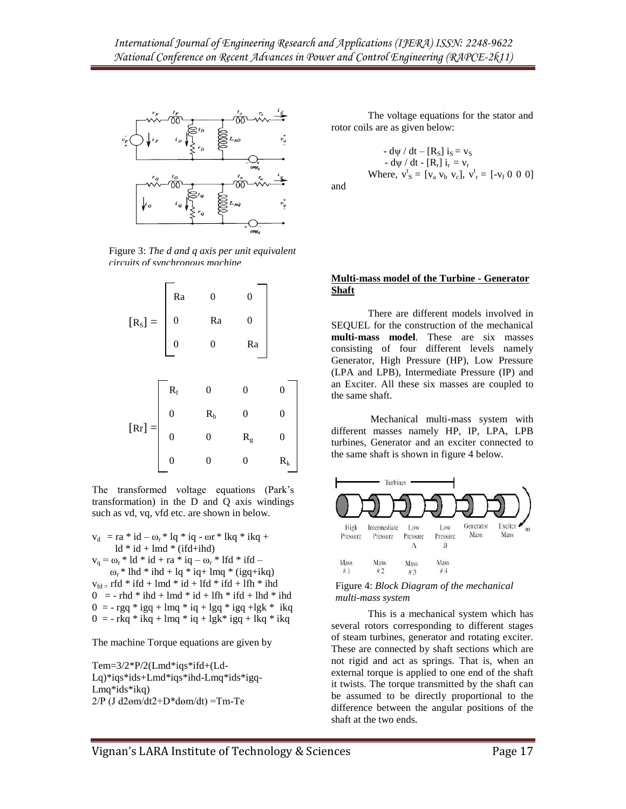

Figure 3: *The d and q axis per unit equivalent circuits of synchronous machine*



The transformed voltage equations (Park"s transformation) in the D and Q axis windings such as vd, vq, vfd etc. are shown in below.

 $v_d$  = ra \* id –  $\omega_r$  \* lq \* iq -  $\omega$ r \* lkq \* ikq +  $ld * id + lmd * (ifd+ihd)$  $v_q = \omega_r * 1d * id + ra * iq - \omega_r * 1fd * ifd \omega_r$  \* lhd \* ihd + lq \* iq + lmq \* (igq+ikq)  $v_{fd}$  = rfd \* ifd + lmd \* id + lfd \* ifd + lfh \* ihd  $0 = - \text{rhd} * \text{ihd} + \text{lmd} * \text{id} + \text{lfh} * \text{ifd} + \text{lhd} * \text{ihd}$  $0 = -\text{rgq} * \text{igq} + \text{lmq} * \text{iq} + \text{lgq} * \text{igq} + \text{lgk} * \text{ikq}$  $0 = -\frac{1}{2}$  rkq \* ikq + lmq \* iq + lgk \* igq + lkq \* ikq

The machine Torque equations are given by

Tem=3/2\*P/2(Lmd\*iqs\*ifd+(Ld-Lq)\*iqs\*ids+Lmd\*iqs\*ihd-Lmq\*ids\*igq-Lmq\*ids\*ikq)  $2/P$  (J d2 $em/dt2+D*dem/dt)$  =Tm-Te

The voltage equations for the stator and rotor coils are as given below:

$$
- d\psi / dt - [R_S] i_S = v_S
$$
  
\n
$$
- d\psi / dt - [R_r] i_r = v_r
$$
  
\nWhere, 
$$
v_S^t = [v_a v_b v_c], v_r^t = [-v_f 0 0 0]
$$

and

#### **Multi-mass model of the Turbine - Generator Shaft**

There are different models involved in SEQUEL for the construction of the mechanical **multi-mass model**. These are six masses consisting of four different levels namely Generator, High Pressure (HP), Low Pressure (LPA and LPB), Intermediate Pressure (IP) and an Exciter. All these six masses are coupled to the same shaft.

Mechanical multi-mass system with different masses namely HP, IP, LPA, LPB turbines, Generator and an exciter connected to the same shaft is shown in figure 4 below.



 Figure 4: *Block Diagram of the mechanical multi-mass system*

This is a mechanical system which has several rotors corresponding to different stages of steam turbines, generator and rotating exciter. These are connected by shaft sections which are not rigid and act as springs. That is, when an external torque is applied to one end of the shaft it twists. The torque transmitted by the shaft can be assumed to be directly proportional to the difference between the angular positions of the shaft at the two ends.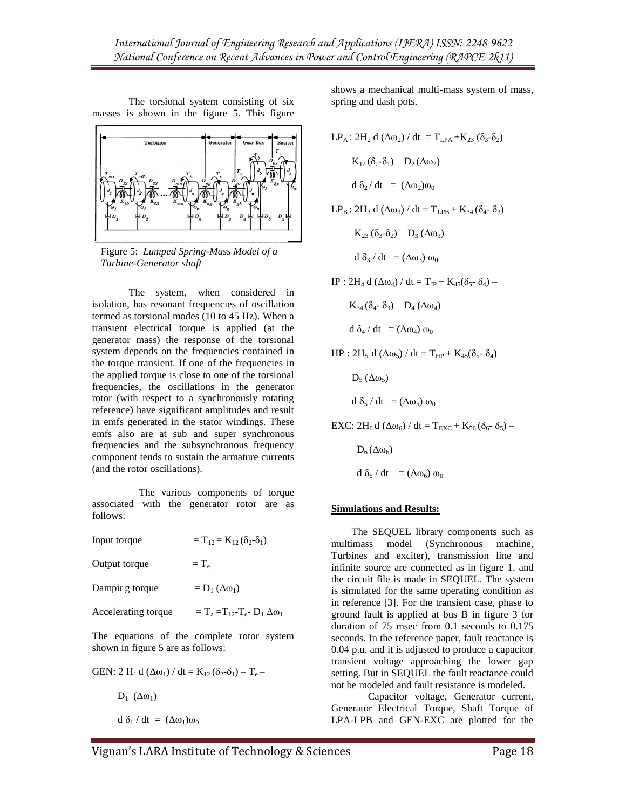The torsional system consisting of six masses is shown in the figure 5. This figure



Figure 5: *Lumped Spring-Mass Model of a Turbine-Generator shaft*

The system, when considered in isolation, has resonant frequencies of oscillation termed as torsional modes (10 to 45 Hz). When a transient electrical torque is applied (at the generator mass) the response of the torsional system depends on the frequencies contained in the torque transient. If one of the frequencies in the applied torque is close to one of the torsional frequencies, the oscillations in the generator rotor (with respect to a synchronously rotating reference) have significant amplitudes and result in emfs generated in the stator windings. These emfs also are at sub and super synchronous frequencies and the subsynchronous frequency component tends to sustain the armature currents (and the rotor oscillations).

 The various components of torque associated with the generator rotor are as follows:

| Input torque                               | $T_{12} = K_{12} (\delta_2 - \delta_1)$     |
|--------------------------------------------|---------------------------------------------|
| Output torque                              | $=T_{\rm e}$                                |
| Damping torque                             | $= D_1 (\Delta \omega_1)$                   |
| Accelerating torque                        | $=T_a=T_{12}-T_{e}$ - $D_1 \Delta \omega_1$ |
| The equations of the complete rotor system |                                             |

The equations of the complete rotor system shown in figure 5 are as follows:

$$
GEN: 2 H_1 d (\Delta \omega_1) / dt = K_{12} (\delta_2 - \delta_1) - T_e -
$$

 $D_1$  ( $\Delta \omega_1$ )

$$
d \delta_1 / dt = (\Delta \omega_1) \omega_0
$$

shows a mechanical multi-mass system of mass, spring and dash pots.

$$
LP_A: 2H_2 d (\Delta \omega_2) / dt = T_{LPA} + K_{23} (\delta_3 - \delta_2) - K_{12} (\delta_2 - \delta_1) - D_2 (\Delta \omega_2)
$$
  

$$
d \delta_2 / dt = (\Delta \omega_2) \omega_0
$$
  

$$
LP_B: 2H_3 d (\Delta \omega_3) / dt = T_{LPB} + K_{34} (\delta_4 - \delta_3) -
$$

 $K_{23} (\delta_3-\delta_2) - D_3 (\Delta \omega_3)$ 

 $d \delta_3 / dt = (\Delta \omega_3) \omega_0$ 

IP : 2H<sub>4</sub> d (Δω<sub>4</sub>) / dt = T<sub>IP</sub> + K<sub>45</sub>(δ<sub>5</sub>- δ<sub>4</sub>) –

$$
K_{34}(\delta_{4} \text{-} \delta_{3}) - D_{4} (\Delta \omega_{4})
$$

$$
d \delta_4 / dt = (\Delta \omega_4) \omega_0
$$

 $HP : 2H_5 d (\Delta\omega_5) / dt = T_{HP} + K_{45}(\delta_5 - \delta_4) -$ 

 $D_5(\Delta\omega_5)$ 

$$
d \delta_5 / dt = (\Delta \omega_5) \omega_0
$$

$$
EXC: 2H_6 d \left(\Delta\omega_6\right)/dt = T_{EXC} + K_{56} (\delta_6 \text{-} \delta_5) -
$$

$$
D_6(\Delta\omega_6)
$$
  
d  $\delta_6$  / dt =  $(\Delta\omega_6)$   $\omega_0$ 

# **Simulations and Results:**

 The SEQUEL library components such as multimass model (Synchronous machine, Turbines and exciter), transmission line and infinite source are connected as in figure 1. and the circuit file is made in SEQUEL. The system is simulated for the same operating condition as in reference [3]. For the transient case, phase to ground fault is applied at bus B in figure 3 for duration of 75 msec from 0.1 seconds to 0.175 seconds. In the reference paper, fault reactance is 0.04 p.u. and it is adjusted to produce a capacitor transient voltage approaching the lower gap setting. But in SEQUEL the fault reactance could not be modeled and fault resistance is modeled.

Capacitor voltage, Generator current, Generator Electrical Torque, Shaft Torque of LPA-LPB and GEN-EXC are plotted for the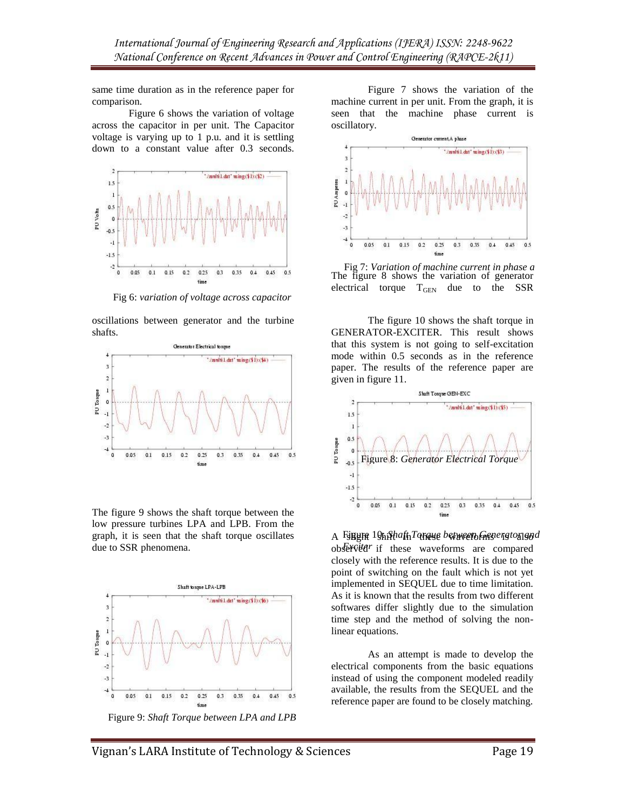same time duration as in the reference paper for comparison.

Figure 6 shows the variation of voltage across the capacitor in per unit. The Capacitor voltage is varying up to 1 p.u. and it is settling down to a constant value after 0.3 seconds.



Fig 6: *variation of voltage across capacitor*

oscillations between generator and the turbine shafts.



The figure 9 shows the shaft torque between the low pressure turbines LPA and LPB. From the graph, it is seen that the shaft torque oscillates due to SSR phenomena.



Figure 9: *Shaft Torque between LPA and LPB*

Figure 7 shows the variation of the machine current in per unit. From the graph, it is seen that the machine phase current is oscillatory.



The figure 8 shows the variation of generator electrical torque  $T_{\text{GEN}}$  due to the SSR Fig 7: *Variation of machine current in phase a*

The figure 10 shows the shaft torque in GENERATOR-EXCITER. This result shows that this system is not going to self-excitation mode within 0.5 seconds as in the reference paper. The results of the reference paper are given in figure 11.



A Fijnyra 19hjfhaft<sub>i</sub>Taraye between Grenerator and observed if these waveforms are compared closely with the reference results. It is due to the point of switching on the fault which is not yet implemented in SEQUEL due to time limitation. As it is known that the results from two different softwares differ slightly due to the simulation time step and the method of solving the nonlinear equations.

As an attempt is made to develop the electrical components from the basic equations instead of using the component modeled readily available, the results from the SEQUEL and the reference paper are found to be closely matching.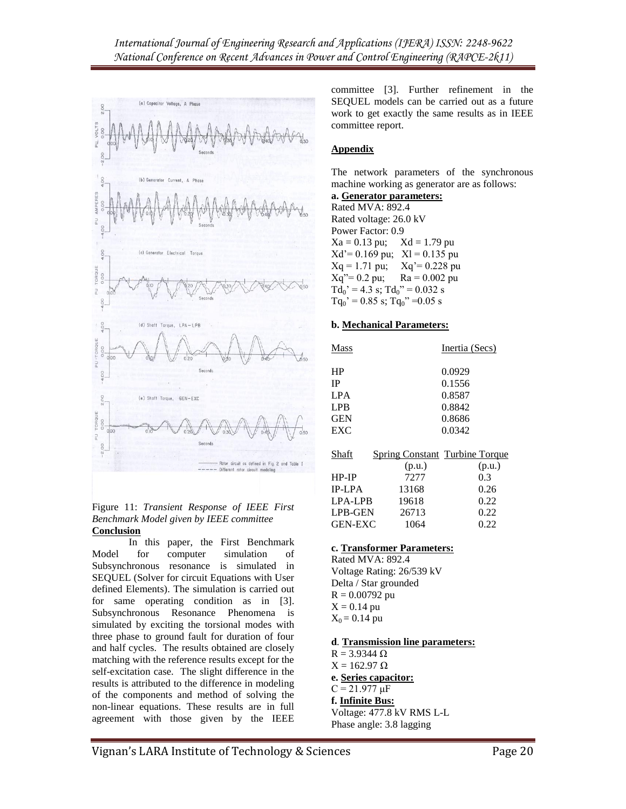

#### Figure 11: *Transient Response of IEEE First Benchmark Model given by IEEE committee* **Conclusion**

In this paper, the First Benchmark Model for computer simulation of Subsynchronous resonance is simulated in SEQUEL (Solver for circuit Equations with User defined Elements). The simulation is carried out for same operating condition as in [3]. Subsynchronous Resonance Phenomena is simulated by exciting the torsional modes with three phase to ground fault for duration of four and half cycles. The results obtained are closely matching with the reference results except for the self-excitation case. The slight difference in the results is attributed to the difference in modeling of the components and method of solving the non-linear equations. These results are in full agreement with those given by the IEEE

committee [3]. Further refinement in the SEQUEL models can be carried out as a future work to get exactly the same results as in IEEE committee report.

# **Appendix**

The network parameters of the synchronous machine working as generator are as follows:

# **a. Generator parameters:**

Rated MVA: 892.4 Rated voltage: 26.0 kV Power Factor: 0.9  $Xa = 0.13 \text{ pu}; \quad Xd = 1.79 \text{ pu}$  $Xd' = 0.169 \text{ pu}; \quad Xl = 0.135 \text{ pu}$  $Xq = 1.71$  pu;  $Xq' = 0.228$  pu  $Xq''= 0.2 \text{ pu}; \quad \text{Ra} = 0.002 \text{ pu}$  $Td_0' = 4.3$  s;  $Td_0'' = 0.032$  s  $Tq_0$ ' = 0.85 s; Tq<sub>0</sub>" = 0.05 s

### **b. Mechanical Parameters:**

| Mass       | Inertia (Secs) |
|------------|----------------|
| <b>HP</b>  | 0.0929         |
| IP         | 0.1556         |
| <b>LPA</b> | 0.8587         |
| <b>LPB</b> | 0.8842         |
| <b>GEN</b> | 0.8686         |
| EXC.       | 0.0342         |
|            |                |

| Shaft          | <b>Spring Constant Turbine Torque</b> |        |
|----------------|---------------------------------------|--------|
|                | (p.u.)                                | (p.u.) |
| $HP-IP$        | 7277                                  | 0.3    |
| <b>IP-LPA</b>  | 13168                                 | 0.26   |
| LPA-LPB        | 19618                                 | 0.22   |
| <b>LPB-GEN</b> | 26713                                 | 0.22   |
| <b>GEN-EXC</b> | 1064                                  | 0.22   |

# **c. Transformer Parameters:**

Rated MVA: 892.4 Voltage Rating: 26/539 kV Delta / Star grounded  $R = 0.00792$  pu  $X = 0.14$  pu  $X_0 = 0.14$  pu

# **d**. **Transmission line parameters:**

 $R = 3.9344 \Omega$  $X = 162.97 \Omega$ **e. Series capacitor:**  $C = 21.977 \mu F$ **f. Infinite Bus:** Voltage: 477.8 kV RMS L-L Phase angle: 3.8 lagging